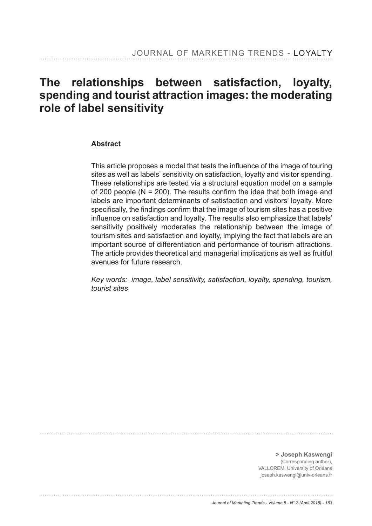# **The relationships between satisfaction, loyalty, spending and tourist attraction images: the moderating role of label sensitivity**

#### **Abstract**

This article proposes a model that tests the influence of the image of touring sites as well as labels' sensitivity on satisfaction, loyalty and visitor spending. These relationships are tested via a structural equation model on a sample of 200 people ( $N = 200$ ). The results confirm the idea that both image and labels are important determinants of satisfaction and visitors' loyalty. More specifically, the findings confirm that the image of tourism sites has a positive influence on satisfaction and loyalty. The results also emphasize that labels' sensitivity positively moderates the relationship between the image of tourism sites and satisfaction and loyalty, implying the fact that labels are an important source of differentiation and performance of tourism attractions. The article provides theoretical and managerial implications as well as fruitful avenues for future research.

*Key words: image, label sensitivity, satisfaction, loyalty, spending, tourism, tourist sites*

**> Joseph Kaswengi**  (Corresponding author), VALLOREM, University of Orléans joseph.kaswengi@univ-orleans.fr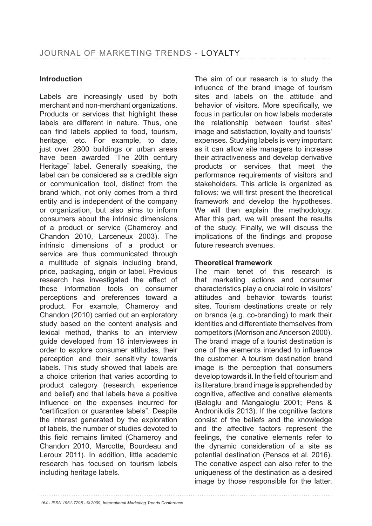## **Introduction**

Labels are increasingly used by both merchant and non-merchant organizations. Products or services that highlight these labels are different in nature. Thus, one can find labels applied to food, tourism, heritage, etc. For example, to date, just over 2800 buildings or urban areas have been awarded "The 20th century Heritage" label. Generally speaking, the label can be considered as a credible sign or communication tool, distinct from the brand which, not only comes from a third entity and is independent of the company or organization, but also aims to inform consumers about the intrinsic dimensions of a product or service (Chameroy and Chandon 2010, Larceneux 2003). The intrinsic dimensions of a product or service are thus communicated through a multitude of signals including brand, price, packaging, origin or label. Previous research has investigated the effect of these information tools on consumer perceptions and preferences toward a product. For example, Chameroy and Chandon (2010) carried out an exploratory study based on the content analysis and lexical method, thanks to an interview guide developed from 18 interviewees in order to explore consumer attitudes, their perception and their sensitivity towards labels. This study showed that labels are a choice criterion that varies according to product category (research, experience and belief) and that labels have a positive influence on the expenses incurred for "certification or quarantee labels". Despite the interest generated by the exploration of labels, the number of studies devoted to this field remains limited (Chameroy and Chandon 2010, Marcotte, Bourdeau and Leroux 2011). In addition, little academic research has focused on tourism labels including heritage labels.

The aim of our research is to study the influence of the brand image of tourism sites and labels on the attitude and behavior of visitors. More specifically, we focus in particular on how labels moderate the relationship between tourist sites' image and satisfaction, loyalty and tourists' expenses. Studying labels is very important as it can allow site managers to increase their attractiveness and develop derivative products or services that meet the performance requirements of visitors and stakeholders. This article is organized as follows: we will first present the theoretical framework and develop the hypotheses. We will then explain the methodology. After this part, we will present the results of the study. Finally, we will discuss the implications of the findings and propose future research avenues.

#### **Theoretical framework**

The main tenet of this research is that marketing actions and consumer characteristics play a crucial role in visitors' attitudes and behavior towards tourist sites. Tourism destinations create or rely on brands (e.g. co-branding) to mark their identities and differentiate themselves from competitors (Morrison and Anderson 2000). The brand image of a tourist destination is one of the elements intended to influence the customer. A tourism destination brand image is the perception that consumers develop towards it. In the field of tourism and its literature, brand image is apprehended by cognitive, affective and conative elements (Baloglu and Mangaloglu 2001; Pens & Andronikidis 2013). If the cognitive factors consist of the beliefs and the knowledge and the affective factors represent the feelings, the conative elements refer to the dynamic consideration of a site as potential destination (Pensos et al. 2016). The conative aspect can also refer to the uniqueness of the destination as a desired image by those responsible for the latter.

*164 - ISSN 1961-7798 - © 2009, International Marketing Trends Conference*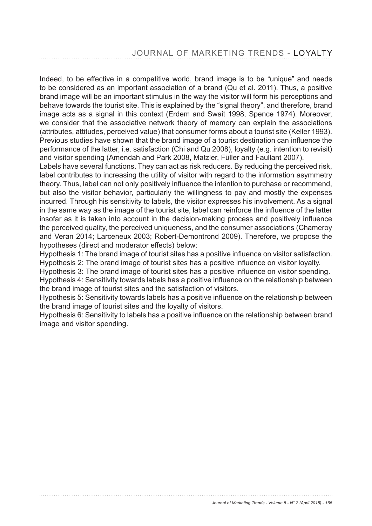Indeed, to be effective in a competitive world, brand image is to be "unique" and needs to be considered as an important association of a brand (Qu et al. 2011). Thus, a positive brand image will be an important stimulus in the way the visitor will form his perceptions and behave towards the tourist site. This is explained by the "signal theory", and therefore, brand image acts as a signal in this context (Erdem and Swait 1998, Spence 1974). Moreover, we consider that the associative network theory of memory can explain the associations (attributes, attitudes, perceived value) that consumer forms about a tourist site (Keller 1993). Previous studies have shown that the brand image of a tourist destination can influence the performance of the latter, i.e. satisfaction (Chi and Qu 2008), loyalty (e.g. intention to revisit) and visitor spending (Amendah and Park 2008, Matzler, Füller and Faullant 2007).

Labels have several functions. They can act as risk reducers. By reducing the perceived risk, label contributes to increasing the utility of visitor with regard to the information asymmetry theory. Thus, label can not only positively influence the intention to purchase or recommend, but also the visitor behavior, particularly the willingness to pay and mostly the expenses incurred. Through his sensitivity to labels, the visitor expresses his involvement. As a signal in the same way as the image of the tourist site, label can reinforce the influence of the latter insofar as it is taken into account in the decision-making process and positively influence the perceived quality, the perceived uniqueness, and the consumer associations (Chameroy and Veran 2014; Larceneux 2003; Robert-Demontrond 2009). Therefore, we propose the hypotheses (direct and moderator effects) below:

Hypothesis 1: The brand image of tourist sites has a positive influence on visitor satisfaction. Hypothesis 2: The brand image of tourist sites has a positive influence on visitor loyalty.

Hypothesis 3: The brand image of tourist sites has a positive influence on visitor spending. Hypothesis 4: Sensitivity towards labels has a positive influence on the relationship between the brand image of tourist sites and the satisfaction of visitors.

Hypothesis 5: Sensitivity towards labels has a positive influence on the relationship between the brand image of tourist sites and the loyalty of visitors.

Hypothesis 6: Sensitivity to labels has a positive influence on the relationship between brand image and visitor spending.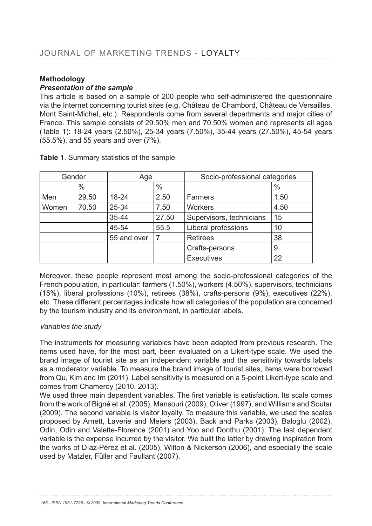# **Methodology**

## *Presentation of the sample*

This article is based on a sample of 200 people who self-administered the questionnaire via the Internet concerning tourist sites (e.g. Château de Chambord, Château de Versailles, Mont Saint-Michel, etc.). Respondents come from several departments and major cities of France. This sample consists of 29.50% men and 70.50% women and represents all ages (Table 1): 18-24 years (2.50%), 25-34 years (7.50%), 35-44 years (27.50%), 45-54 years  $(55.5\%)$ , and 55 years and over  $(7\%)$ .

| Gender |       | Age         |               | Socio-professional categories |      |
|--------|-------|-------------|---------------|-------------------------------|------|
|        | $\%$  |             | $\frac{0}{0}$ |                               | $\%$ |
| Men    | 29.50 | $18 - 24$   | 2.50          | Farmers                       | 1.50 |
| Women  | 70.50 | 25-34       | 7.50          | <b>Workers</b>                | 4.50 |
|        |       | $35 - 44$   | 27.50         | Supervisors, technicians      | 15   |
|        |       | 45-54       | 55.5          | Liberal professions           | 10   |
|        |       | 55 and over | 7             | <b>Retirees</b>               | 38   |
|        |       |             |               | Crafts-persons                | 9    |
|        |       |             |               | <b>Executives</b>             | 22   |

Table 1. Summary statistics of the sample

Moreover, these people represent most among the socio-professional categories of the French population, in particular: farmers (1.50%), workers (4.50%), supervisors, technicians  $(15%)$ , liberal professions  $(10%)$ , retirees  $(38%)$ , crafts-persons  $(9%)$ , executives  $(22%)$ , etc. These different percentages indicate how all categories of the population are concerned by the tourism industry and its environment, in particular labels.

# *Variables the study*

The instruments for measuring variables have been adapted from previous research. The items used have, for the most part, been evaluated on a Likert-type scale. We used the brand image of tourist site as an independent variable and the sensitivity towards labels as a moderator variable. To measure the brand image of tourist sites, items were borrowed from Qu, Kim and Im (2011). Label sensitivity is measured on a 5-point Likert-type scale and comes from Chameroy (2010, 2013).

We used three main dependent variables. The first variable is satisfaction. Its scale comes from the work of Bigné et al. (2005), Mansouri (2009), Oliver (1997), and Williams and Soutar (2009). The second variable is visitor loyalty. To measure this variable, we used the scales proposed by Arnett, Laverie and Meiers (2003), Back and Parks (2003), Baloglu (2002), Odin, Odin and Valette-Florence (2001) and Yoo and Donthu (2001). The last dependent variable is the expense incurred by the visitor. We built the latter by drawing inspiration from the works of Díaz-Pérez et al. (2005), Wilton & Nickerson (2006), and especially the scale used by Matzler, Füller and Faullant (2007).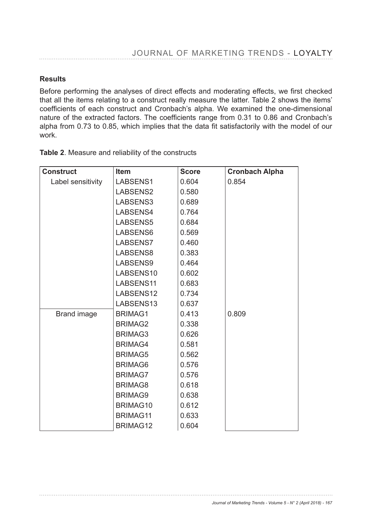## **Results**

Before performing the analyses of direct effects and moderating effects, we first checked that all the items relating to a construct really measure the latter. Table 2 shows the items' coefficients of each construct and Cronbach's alpha. We examined the one-dimensional nature of the extracted factors. The coefficients range from 0.31 to 0.86 and Cronbach's alpha from 0.73 to 0.85, which implies that the data fit satisfactorily with the model of our work.

| <b>Construct</b>   | <b>Item</b>     | <b>Score</b> | <b>Cronbach Alpha</b> |
|--------------------|-----------------|--------------|-----------------------|
| Label sensitivity  | LABSENS1        | 0.604        | 0.854                 |
|                    | LABSENS2        | 0.580        |                       |
|                    | LABSENS3        | 0.689        |                       |
|                    | LABSENS4        | 0.764        |                       |
|                    | LABSENS5        | 0.684        |                       |
|                    | LABSENS6        | 0.569        |                       |
|                    | LABSENS7        | 0.460        |                       |
|                    | LABSENS8        | 0.383        |                       |
|                    | LABSENS9        | 0.464        |                       |
|                    | LABSENS10       | 0.602        |                       |
|                    | LABSENS11       | 0.683        |                       |
|                    | LABSENS12       | 0.734        |                       |
|                    | LABSENS13       | 0.637        |                       |
| <b>Brand image</b> | <b>BRIMAG1</b>  | 0.413        | 0.809                 |
|                    | <b>BRIMAG2</b>  | 0.338        |                       |
|                    | <b>BRIMAG3</b>  | 0.626        |                       |
|                    | <b>BRIMAG4</b>  | 0.581        |                       |
|                    | <b>BRIMAG5</b>  | 0.562        |                       |
|                    | <b>BRIMAG6</b>  | 0.576        |                       |
|                    | <b>BRIMAG7</b>  | 0.576        |                       |
|                    | <b>BRIMAG8</b>  | 0.618        |                       |
|                    | <b>BRIMAG9</b>  | 0.638        |                       |
|                    | BRIMAG10        | 0.612        |                       |
|                    | <b>BRIMAG11</b> | 0.633        |                       |
|                    | <b>BRIMAG12</b> | 0.604        |                       |

Table 2. Measure and reliability of the constructs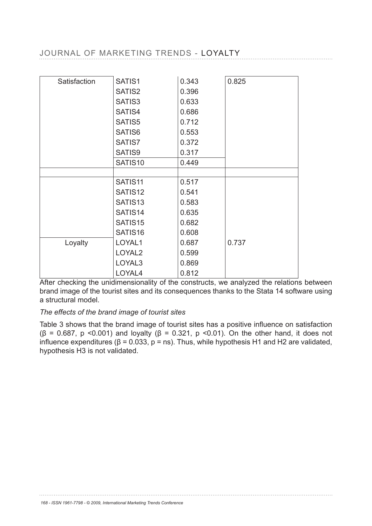# JOURNAL OF MARKETING TRENDS - LOYALTY

| Satisfaction | SATIS1              | 0.343 | 0.825 |
|--------------|---------------------|-------|-------|
|              | SATIS2              | 0.396 |       |
|              | SATIS3              | 0.633 |       |
|              | SATIS4              | 0.686 |       |
|              | SATIS5              | 0.712 |       |
|              | SATIS6              | 0.553 |       |
|              | SATIS7              | 0.372 |       |
|              | SATIS9              | 0.317 |       |
|              | SATIS10             | 0.449 |       |
|              |                     |       |       |
|              | SATIS <sub>11</sub> | 0.517 |       |
|              | SATIS12             | 0.541 |       |
|              | SATIS <sub>13</sub> | 0.583 |       |
|              | SATIS14             | 0.635 |       |
|              | SATIS <sub>15</sub> | 0.682 |       |
|              | SATIS16             | 0.608 |       |
| Loyalty      | LOYAL1              | 0.687 | 0.737 |
|              | LOYAL <sub>2</sub>  | 0.599 |       |
|              | LOYAL3              | 0.869 |       |
|              | LOYAL4              | 0.812 |       |

After checking the unidimensionality of the constructs, we analyzed the relations between brand image of the tourist sites and its consequences thanks to the Stata 14 software using a structural model.

#### *The effects of the brand image of tourist sites*

Table 3 shows that the brand image of tourist sites has a positive influence on satisfaction ( $\beta$  = 0.687, p <0.001) and loyalty ( $\beta$  = 0.321, p <0.01). On the other hand, it does not influence expenditures ( $\beta$  = 0.033, p = ns). Thus, while hypothesis H1 and H2 are validated, hypothesis H3 is not validated.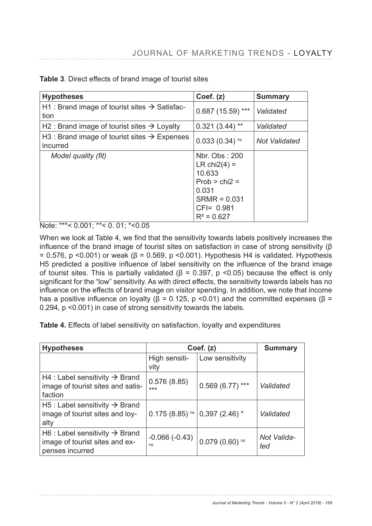| <b>Hypotheses</b>                                                    | Coef. (z)                                                                                                                  | <b>Summary</b>       |
|----------------------------------------------------------------------|----------------------------------------------------------------------------------------------------------------------------|----------------------|
| H1 : Brand image of tourist sites $\rightarrow$ Satisfac-<br>tion    | $0.687(15.59)$ ***                                                                                                         | Validated            |
| H2 : Brand image of tourist sites $\rightarrow$ Loyalty              | $0.321(3.44)$ **                                                                                                           | Validated            |
| H3 : Brand image of tourist sites $\rightarrow$ Expenses<br>incurred | $0.033(0.34)$ <sup>ns</sup>                                                                                                | <b>Not Validated</b> |
| Model quality (fit)                                                  | Nbr. Obs: 200<br>LR chi $2(4) =$<br>10.633<br>$Prob > chi2 =$<br>0.031<br>$SRMR = 0.031$<br>$CFI = 0.981$<br>$R^2$ = 0.627 |                      |

**Table 3**. Direct effects of brand image of tourist sites

Note: \*\*\*< 0.001; \*\*< 0. 01; \*<0.05

When we look at Table 4, we find that the sensitivity towards labels positively increases the influence of the brand image of tourist sites on satisfaction in case of strong sensitivity ( $\beta$ = 0.576, p < 0.001) or weak ( $\beta$  = 0.569, p < 0.001). Hypothesis H4 is validated. Hypothesis H5 predicted a positive influence of label sensitivity on the influence of the brand image of tourist sites. This is partially validated ( $\beta$  = 0.397, p < 0.05) because the effect is only significant for the "low" sensitivity. As with direct effects, the sensitivity towards labels has no influence on the effects of brand image on visitor spending. In addition, we note that income has a positive influence on loyalty ( $\beta$  = 0.125, p <0.01) and the committed expenses ( $\beta$  = 0.294, p <0.001) in case of strong sensitivity towards the labels.

**Table 4.** Effects of label sensitivity on satisfaction, loyalty and expenditures

| <b>Hypotheses</b>                                                                               | Coef. $(z)$                                             |                             | <b>Summary</b>     |
|-------------------------------------------------------------------------------------------------|---------------------------------------------------------|-----------------------------|--------------------|
|                                                                                                 | High sensiti-<br>vity                                   | Low sensitivity             |                    |
| H4 : Label sensitivity $\rightarrow$ Brand<br>image of tourist sites and satis-<br>faction      | 0.576(8.85)<br>$***$                                    | $0.569(6.77***$             | Validated          |
| H5 : Label sensitivity $\rightarrow$ Brand<br>image of tourist sites and loy-<br>alty           | $0.175(8.85)$ <sup>ns</sup> 0,397 $(2.46)$ <sup>*</sup> |                             | Validated          |
| H6 : Label sensitivity $\rightarrow$ Brand<br>image of tourist sites and ex-<br>penses incurred | $-0.066(-0.43)$<br>ns                                   | $0.079(0.60)$ <sup>ns</sup> | Not Valida-<br>ted |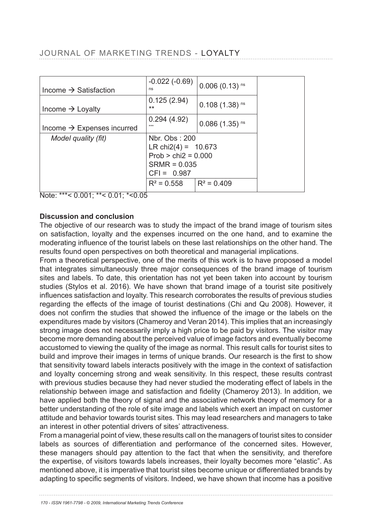# JOURNAL OF MARKETING TRENDS - LOYALTY

| Income $\rightarrow$ Satisfaction      | $-0.022(-0.69)$<br>ns                                                                              | $0.006(0.13)$ <sup>ns</sup> |
|----------------------------------------|----------------------------------------------------------------------------------------------------|-----------------------------|
| Income $\rightarrow$ Loyalty           | 0.125(2.94)<br>$***$                                                                               | $0.108(1.38)$ <sup>ns</sup> |
| Income $\rightarrow$ Expenses incurred | 0.294(4.92)<br>***                                                                                 | $0.086(1.35)$ <sup>ns</sup> |
| Model quality (fit)                    | Nbr. Obs: 200<br>LR chi2(4) = $10.673$<br>$Prob > chi2 = 0.000$<br>$SRMR = 0.035$<br>$CFI = 0.987$ |                             |
|                                        | $R^2 = 0.558$ $\mid R^2 = 0.409$                                                                   |                             |

Note: \*\*\*< 0.001; \*\*< 0.01; \*<0.05

#### **Discussion and conclusion**

The objective of our research was to study the impact of the brand image of tourism sites on satisfaction, loyalty and the expenses incurred on the one hand, and to examine the moderating influence of the tourist labels on these last relationships on the other hand. The results found open perspectives on both theoretical and managerial implications.

From a theoretical perspective, one of the merits of this work is to have proposed a model that integrates simultaneously three major consequences of the brand image of tourism sites and labels. To date, this orientation has not yet been taken into account by tourism studies (Stylos et al. 2016). We have shown that brand image of a tourist site positively influences satisfaction and loyalty. This research corroborates the results of previous studies regarding the effects of the image of tourist destinations (Chi and Qu 2008). However, it does not confirm the studies that showed the influence of the image or the labels on the expenditures made by visitors (Chameroy and Veran 2014). This implies that an increasingly strong image does not necessarily imply a high price to be paid by visitors. The visitor may become more demanding about the perceived value of image factors and eventually become accustomed to viewing the quality of the image as normal. This result calls for tourist sites to build and improve their images in terms of unique brands. Our research is the first to show that sensitivity toward labels interacts positively with the image in the context of satisfaction and loyalty concerning strong and weak sensitivity. In this respect, these results contrast with previous studies because they had never studied the moderating effect of labels in the relationship between image and satisfaction and fidelity (Chameroy 2013). In addition, we have applied both the theory of signal and the associative network theory of memory for a better understanding of the role of site image and labels which exert an impact on customer attitude and behavior towards tourist sites. This may lead researchers and managers to take an interest in other potential drivers of sites' attractiveness.

From a managerial point of view, these results call on the managers of tourist sites to consider labels as sources of differentiation and performance of the concerned sites. However, these managers should pay attention to the fact that when the sensitivity, and therefore the expertise, of visitors towards labels increases, their loyalty becomes more "elastic". As mentioned above, it is imperative that tourist sites become unique or differentiated brands by adapting to specific segments of visitors. Indeed, we have shown that income has a positive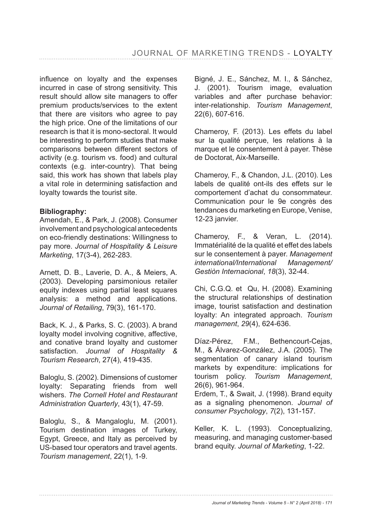influence on lovalty and the expenses incurred in case of strong sensitivity. This result should allow site managers to offer premium products/services to the extent that there are visitors who agree to pay the high price. One of the limitations of our research is that it is mono-sectoral. It would be interesting to perform studies that make comparisons between different sectors of activity (e.g. tourism vs. food) and cultural contexts (e.g. inter-country). That being said, this work has shown that labels play a vital role in determining satisfaction and loyalty towards the tourist site.

#### **Bibliography:**

Amendah, E., & Park, J. (2008). Consumer involvement and psychological antecedents on eco-friendly destinations: Willingness to pay more. *Journal of Hospitality & Leisure Marketing* 

Arnett, D. B., Laverie, D. A., & Meiers, A. (2003). Developing parsimonious retailer equity indexes using partial least squares analysis: a method and applications. *Journal of Retailing* 

Back, K. J., & Parks, S. C. (2003). A brand loyalty model involving cognitive, affective, and conative brand loyalty and customer satisfaction. *Journal of Hospitality & Tourism Research* 

Baloglu, S. (2002). Dimensions of customer loyalty: Separating friends from well wishers. *The Cornell Hotel and Restaurant Administration Quarterly* 

Baloglu, S., & Mangaloglu, M. (2001). Tourism destination images of Turkey, Egypt, Greece, and Italy as perceived by US-based tour operators and travel agents. *Tourism management*, 22(1), 1-9.

Bigné, J. E., Sánchez, M. I., & Sánchez, J. (2001). Tourism image, evaluation variables and after purchase behavior: inter-relationship. *Tourism Management*, 22(6), 607-616.

Chameroy, F. (2013). Les effets du label sur la qualité perçue, les relations à la marque et le consentement à payer. Thèse de Doctorat, Aix-Marseille.

Chameroy, F., & Chandon, J.L. (2010). Les labels de qualité ont-ils des effets sur le comportement d'achat du consommateur. Communication pour le 9e congrès des tendances du marketing en Europe, Venise, 12-23 janvier.

Chameroy, F., & Veran, L. (2014). Immatérialité de la qualité et effet des labels sur le consentement à payer. *Management international/International Management/ Gestiòn Internacional*, *18*(3), 32-44.

Chi, C.G.Q. et Qu, H. (2008). Examining the structural relationships of destination image, tourist satisfaction and destination loyalty: An integrated approach. *Tourism management*, *29*(4), 624-636.

Díaz-Pérez, F.M., Bethencourt-Cejas, M., & Álvarez-González, J.A. (2005). The segmentation of canary island tourism markets by expenditure: implications for tourism policy. *Tourism Management*, 26(6), 961-964.

Erdem, T., & Swait, J. (1998). Brand equity as a signaling phenomenon. *Journal of consumer Psychology*, *7* 

Keller, K. L. (1993). Conceptualizing, measuring, and managing customer-based brand equity. *Journal of Marketing*, 1-22.

*Journal of Marketing Trends - Volume 5 - N° 2 (April 2018) - 171*